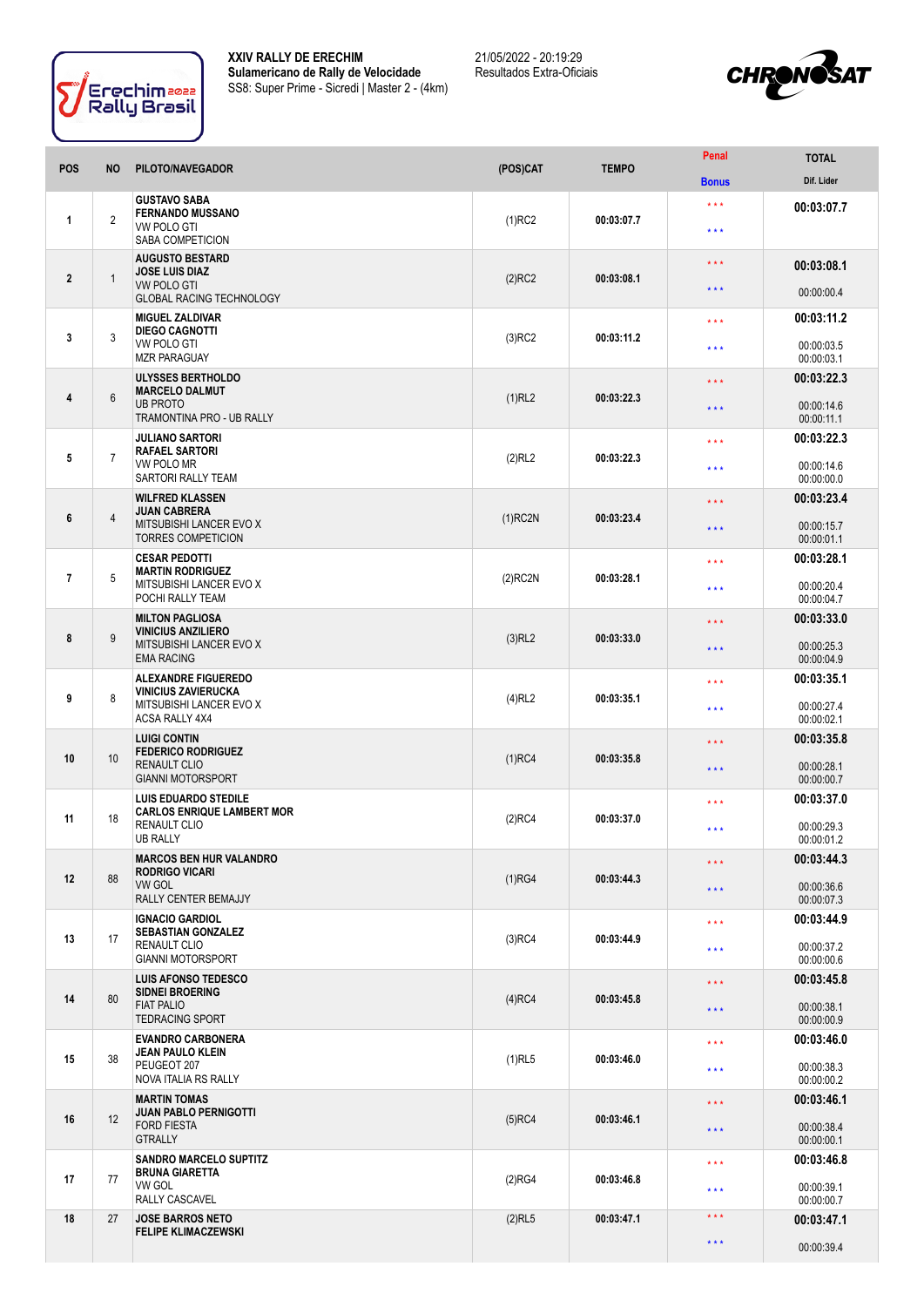

**XXIV RALLY DE ERECHIM Sulamericano de Rally de Velocidade** SS8: Super Prime - Sicredi | Master 2 - (4km) 21/05/2022 - 20:19:29 Resultados Extra-Oficiais



| <b>POS</b>       | <b>NO</b>      | PILOTO/NAVEGADOR                                                                                             | (POS)CAT   | <b>TEMPO</b> | Penal                      | <b>TOTAL</b>             |
|------------------|----------------|--------------------------------------------------------------------------------------------------------------|------------|--------------|----------------------------|--------------------------|
|                  |                |                                                                                                              |            |              | <b>Bonus</b>               | Dif. Lider               |
| 1                | $\sqrt{2}$     | <b>GUSTAVO SABA</b><br><b>FERNANDO MUSSANO</b><br><b>VW POLO GTI</b><br>SABA COMPETICION                     | $(1)$ RC2  | 00:03:07.7   | $\star\star\star$<br>* * * | 00:03:07.7               |
| $\boldsymbol{2}$ | $\mathbf{1}$   | <b>AUGUSTO BESTARD</b><br><b>JOSE LUIS DIAZ</b><br><b>VW POLO GTI</b>                                        | $(2)$ RC2  | 00:03:08.1   | $* * *$<br>* * *           | 00:03:08.1<br>00:00:00.4 |
|                  |                | <b>GLOBAL RACING TECHNOLOGY</b><br><b>MIGUEL ZALDIVAR</b>                                                    |            |              | $\star \star \star$        | 00:03:11.2               |
| 3                | 3              | <b>DIEGO CAGNOTTI</b><br>VW POLO GTI<br><b>MZR PARAGUAY</b>                                                  | $(3)$ RC2  | 00:03:11.2   | * * *                      | 00:00:03.5<br>00:00:03.1 |
|                  |                | <b>ULYSSES BERTHOLDO</b>                                                                                     |            |              | $***$                      | 00:03:22.3               |
| 4                | $6\phantom{1}$ | <b>MARCELO DALMUT</b><br><b>UB PROTO</b><br>TRAMONTINA PRO - UB RALLY                                        | (1)RL2     | 00:03:22.3   | $***$                      | 00:00:14.6<br>00:00:11.1 |
|                  |                | <b>JULIANO SARTORI</b><br><b>RAFAEL SARTORI</b>                                                              |            |              | $\star$ $\star$ $\star$    | 00:03:22.3               |
| 5                | $\overline{7}$ | VW POLO MR<br>SARTORI RALLY TEAM                                                                             | (2)RL2     | 00:03:22.3   | $\star$ $\star$ $\star$    | 00:00:14.6<br>00:00:00.0 |
| 6                | $\overline{4}$ | <b>WILFRED KLASSEN</b><br><b>JUAN CABRERA</b><br>MITSUBISHI LANCER EVO X<br><b>TORRES COMPETICION</b>        | $(1)$ RC2N | 00:03:23.4   | $* * *$                    | 00:03:23.4               |
|                  |                |                                                                                                              |            |              | * * *                      | 00:00:15.7<br>00:00:01.1 |
| $\overline{7}$   | 5              | <b>CESAR PEDOTTI</b><br><b>MARTIN RODRIGUEZ</b>                                                              | $(2)$ RC2N | 00:03:28.1   | $\star$ $\star$ $\star$    | 00:03:28.1               |
|                  |                | MITSUBISHI LANCER EVO X<br>POCHI RALLY TEAM                                                                  |            |              | * * *                      | 00:00:20.4<br>00:00:04.7 |
|                  |                | <b>MILTON PAGLIOSA</b><br><b>VINICIUS ANZILIERO</b><br>MITSUBISHI LANCER EVO X<br><b>EMA RACING</b>          |            |              | $\star\star\star$          | 00:03:33.0               |
| 8                | 9              |                                                                                                              | $(3)$ RL2  | 00:03:33.0   | $***$                      | 00:00:25.3<br>00:00:04.9 |
|                  | 8              | <b>ALEXANDRE FIGUEREDO</b><br><b>VINICIUS ZAVIERUCKA</b><br>MITSUBISHI LANCER EVO X<br>ACSA RALLY 4X4        | $(4)$ RL2  | 00:03:35.1   | $***$                      | 00:03:35.1               |
| 9                |                |                                                                                                              |            |              | $* * *$                    | 00:00:27.4<br>00:00:02.1 |
|                  | 10             | <b>LUIGI CONTIN</b><br><b>FEDERICO RODRIGUEZ</b><br><b>RENAULT CLIO</b><br><b>GIANNI MOTORSPORT</b>          | $(1)$ RC4  | 00:03:35.8   | $\star\star\star$          | 00:03:35.8               |
| 10               |                |                                                                                                              |            |              | $\star\star\star$          | 00:00:28.1<br>00:00:00.7 |
|                  |                | <b>LUIS EDUARDO STEDILE</b><br><b>CARLOS ENRIQUE LAMBERT MOR</b>                                             |            |              | $***$                      | 00:03:37.0               |
| 11               | 18             | <b>RENAULT CLIO</b><br>UB RALLY                                                                              | $(2)$ RC4  | 00:03:37.0   | $***$                      | 00:00:29.3<br>00:00:01.2 |
|                  | 88             | <b>MARCOS BEN HUR VALANDRO</b><br><b>RODRIGO VICARI</b><br><b>VW GOL</b><br>RALLY CENTER BEMAJJY             | (1)RG4     | 00:03:44.3   | $\star\star\star$          | 00:03:44.3               |
| 12               |                |                                                                                                              |            |              | $\star$ $\star$ $\star$    | 00:00:36.6<br>00:00:07.3 |
|                  |                | <b>IGNACIO GARDIOL</b><br><b>SEBASTIAN GONZALEZ</b><br>17<br><b>RENAULT CLIO</b><br><b>GIANNI MOTORSPORT</b> | $(3)$ RC4  | 00:03:44.9   | $***$                      | 00:03:44.9               |
| 13               |                |                                                                                                              |            |              | * * *                      | 00:00:37.2<br>00:00:00.6 |
|                  | 80             | <b>LUIS AFONSO TEDESCO</b><br><b>SIDNEI BROERING</b><br><b>FIAT PALIO</b><br><b>TEDRACING SPORT</b>          | $(4)$ RC4  | 00:03:45.8   | $\star\star\star$          | 00:03:45.8               |
| 14               |                |                                                                                                              |            |              | $***$                      | 00:00:38.1<br>00:00:00.9 |
|                  | 38             | <b>EVANDRO CARBONERA</b><br><b>JEAN PAULO KLEIN</b><br>PEUGEOT 207<br>NOVA ITALIA RS RALLY                   | $(1)$ RL5  | 00:03:46.0   | $\star$ $\star$ $\star$    | 00:03:46.0               |
| 15               |                |                                                                                                              |            |              | $\star$ $\star$ $\star$    | 00:00:38.3<br>00:00:00.2 |
|                  | 12             | <b>MARTIN TOMAS</b><br><b>JUAN PABLO PERNIGOTTI</b><br><b>FORD FIESTA</b><br><b>GTRALLY</b>                  | $(5)$ RC4  | 00:03:46.1   | $\star\star\star$          | 00:03:46.1               |
| 16               |                |                                                                                                              |            |              | $\star\star\star$          | 00:00:38.4<br>00:00:00.1 |
|                  |                | <b>SANDRO MARCELO SUPTITZ</b><br><b>BRUNA GIARETTA</b><br>VW GOL<br><b>RALLY CASCAVEL</b>                    | (2)RG4     | 00:03:46.8   | $\star$ $\star$ $\star$    | 00:03:46.8               |
| 17               | 77             |                                                                                                              |            |              | * * *                      | 00:00:39.1<br>00:00:00.7 |
| 18               | 27             | <b>JOSE BARROS NETO</b><br><b>FELIPE KLIMACZEWSKI</b>                                                        | $(2)$ RL5  | 00:03:47.1   | $\star$ $\star$ $\star$    | 00:03:47.1               |
|                  |                |                                                                                                              |            |              | $***$                      | 00:00:39.4               |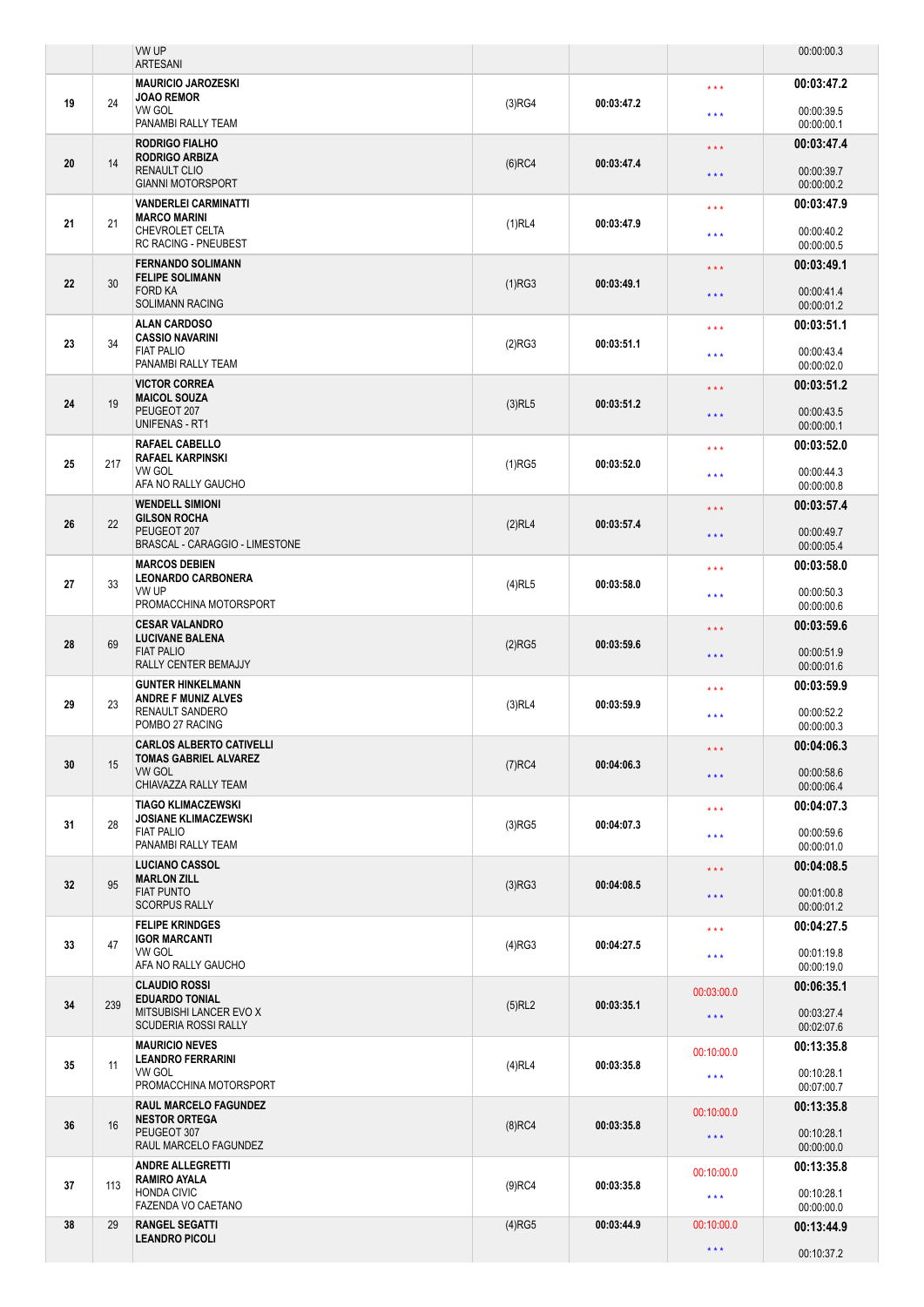|    |     | VW UP<br><b>ARTESANI</b>                                                                                 |                      |            |                         | 00:00:00.3               |
|----|-----|----------------------------------------------------------------------------------------------------------|----------------------|------------|-------------------------|--------------------------|
|    | 24  | <b>MAURICIO JAROZESKI</b>                                                                                | (3)RG4               | 00:03:47.2 | * * *                   | 00:03:47.2               |
| 19 |     | <b>JOAO REMOR</b><br>VW GOL<br>PANAMBI RALLY TEAM                                                        |                      |            | * * *                   | 00:00:39.5<br>00:00:00.1 |
|    |     | <b>RODRIGO FIALHO</b>                                                                                    |                      |            | $\star\star\star$       | 00:03:47.4               |
| 20 | 14  | <b>RODRIGO ARBIZA</b><br><b>RENAULT CLIO</b><br><b>GIANNI MOTORSPORT</b>                                 | $(6)$ RC4            | 00:03:47.4 | * * *                   | 00:00:39.7<br>00:00:00.2 |
|    |     | <b>VANDERLEI CARMINATTI</b>                                                                              |                      |            | * * *                   | 00:03:47.9               |
| 21 | 21  | <b>MARCO MARINI</b><br>CHEVROLET CELTA<br><b>RC RACING - PNEUBEST</b>                                    | (1)RL4<br>00:03:47.9 |            | * * *                   | 00:00:40.2<br>00:00:00.5 |
|    |     | <b>FERNANDO SOLIMANN</b><br><b>FELIPE SOLIMANN</b>                                                       |                      |            | $***$                   | 00:03:49.1               |
| 22 | 30  | <b>FORD KA</b><br><b>SOLIMANN RACING</b>                                                                 | (1)RG3<br>00:03:49.1 |            | * * *                   | 00:00:41.4<br>00:00:01.2 |
|    |     | <b>ALAN CARDOSO</b><br><b>CASSIO NAVARINI</b>                                                            |                      |            | * * *                   | 00:03:51.1               |
| 23 | 34  | <b>FIAT PALIO</b><br>PANAMBI RALLY TEAM                                                                  | (2)RG3               | 00:03:51.1 | * * *                   | 00:00:43.4<br>00:00:02.0 |
|    |     | <b>VICTOR CORREA</b><br><b>MAICOL SOUZA</b>                                                              |                      |            | * * *                   | 00:03:51.2               |
| 24 | 19  | PEUGEOT 207<br><b>UNIFENAS - RT1</b>                                                                     | $(3)$ RL5            | 00:03:51.2 | * * *                   | 00:00:43.5<br>00:00:00.1 |
|    |     | <b>RAFAEL CABELLO</b><br><b>RAFAEL KARPINSKI</b>                                                         |                      |            | * * *                   | 00:03:52.0               |
| 25 | 217 | VW GOL<br>AFA NO RALLY GAUCHO                                                                            | $(1)$ RG5            | 00:03:52.0 | * * *                   | 00:00:44.3<br>00:00:00.8 |
|    |     | <b>WENDELL SIMIONI</b><br><b>GILSON ROCHA</b><br>PEUGEOT 207<br>BRASCAL - CARAGGIO - LIMESTONE           |                      |            | ***                     | 00:03:57.4               |
| 26 | 22  |                                                                                                          | (2)RL4               | 00:03:57.4 | * * *                   | 00:00:49.7<br>00:00:05.4 |
|    |     | <b>MARCOS DEBIEN</b><br><b>LEONARDO CARBONERA</b><br>VW UP<br>PROMACCHINA MOTORSPORT                     |                      |            | * * *                   | 00:03:58.0               |
| 27 | 33  |                                                                                                          | $(4)$ RL5            | 00:03:58.0 | * * *                   | 00:00:50.3<br>00:00:00.6 |
|    | 69  | <b>CESAR VALANDRO</b><br><b>LUCIVANE BALENA</b><br><b>FIAT PALIO</b><br>RALLY CENTER BEMAJJY             | $(2)$ RG5            | 00:03:59.6 | $***$                   | 00:03:59.6               |
| 28 |     |                                                                                                          |                      |            | * * *                   | 00:00:51.9<br>00:00:01.6 |
|    |     | <b>GUNTER HINKELMANN</b><br><b>ANDRE F MUNIZ ALVES</b><br><b>RENAULT SANDERO</b><br>POMBO 27 RACING      | $(3)$ RL4            | 00:03:59.9 | * * *                   | 00:03:59.9               |
| 29 | 23  |                                                                                                          |                      |            | ***                     | 00:00:52.2<br>00:00:00.3 |
|    | 15  | <b>CARLOS ALBERTO CATIVELLI</b><br><b>TOMAS GABRIEL ALVAREZ</b><br><b>VW GOL</b><br>CHIAVAZZA RALLY TEAM | $(7)$ RC4            | 00:04:06.3 | $\star\star\star$       | 00:04:06.3               |
| 30 |     |                                                                                                          |                      |            | * * *                   | 00:00:58.6<br>00:00:06.4 |
|    | 28  | <b>TIAGO KLIMACZEWSKI</b><br><b>JOSIANE KLIMACZEWSKI</b><br><b>FIAT PALIO</b><br>PANAMBI RALLY TEAM      | $(3)$ RG5            | 00:04:07.3 | * * *                   | 00:04:07.3               |
| 31 |     |                                                                                                          |                      |            | $***$                   | 00:00:59.6<br>00:00:01.0 |
|    | 95  | <b>LUCIANO CASSOL</b><br><b>MARLON ZILL</b><br><b>FIAT PUNTO</b><br><b>SCORPUS RALLY</b>                 | (3)RG3               |            | $***$                   | 00:04:08.5               |
| 32 |     |                                                                                                          |                      | 00:04:08.5 | * * *                   | 00:01:00.8<br>00:00:01.2 |
|    | 47  | <b>FELIPE KRINDGES</b><br><b>IGOR MARCANTI</b><br><b>VW GOL</b><br>AFA NO RALLY GAUCHO                   |                      |            | * * *                   | 00:04:27.5               |
| 33 |     |                                                                                                          | $(4)$ RG3            | 00:04:27.5 | * * *                   | 00:01:19.8<br>00:00:19.0 |
|    | 239 | <b>CLAUDIO ROSSI</b><br><b>EDUARDO TONIAL</b><br>MITSUBISHI LANCER EVO X<br><b>SCUDERIA ROSSI RALLY</b>  |                      |            | 00:03:00.0              | 00:06:35.1               |
| 34 |     |                                                                                                          | $(5)$ RL2            | 00:03:35.1 | $\star\star\star$       | 00:03:27.4<br>00:02:07.6 |
|    | 11  | <b>MAURICIO NEVES</b><br><b>LEANDRO FERRARINI</b><br>VW GOL<br>PROMACCHINA MOTORSPORT                    | $(4)$ RL4            | 00:03:35.8 | 00:10:00.0              | 00:13:35.8               |
| 35 |     |                                                                                                          |                      |            | $\star$ $\star$ $\star$ | 00:10:28.1<br>00:07:00.7 |
|    | 16  | <b>RAUL MARCELO FAGUNDEZ</b><br><b>NESTOR ORTEGA</b><br>PEUGEOT 307<br>RAUL MARCELO FAGUNDEZ             | $(8)$ RC4            |            | 00:10:00.0              | 00:13:35.8               |
| 36 |     |                                                                                                          |                      | 00:03:35.8 | $\star\star\star$       | 00:10:28.1<br>00:00:00.0 |
|    |     | <b>ANDRE ALLEGRETTI</b><br><b>RAMIRO AYALA</b><br><b>HONDA CIVIC</b><br>FAZENDA VO CAETANO               | $(9)$ RC4            |            | 00:10:00.0              | 00:13:35.8               |
| 37 | 113 |                                                                                                          |                      | 00:03:35.8 | $\star$ $\star$ $\star$ | 00:10:28.1<br>00:00:00.0 |
| 38 | 29  | <b>RANGEL SEGATTI</b><br><b>LEANDRO PICOLI</b>                                                           | $(4)$ RG5            | 00:03:44.9 | 00:10:00.0              | 00:13:44.9               |
|    |     |                                                                                                          |                      |            | $\star\star\star$       | 00:10:37.2               |